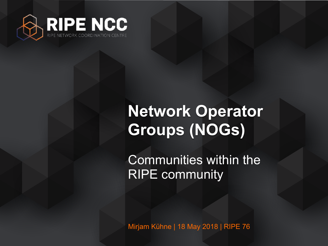

# **Network Operator Groups (NOGs)**

Communities within the RIPE community

Mirjam Kühne | 18 May 2018 | RIPE 76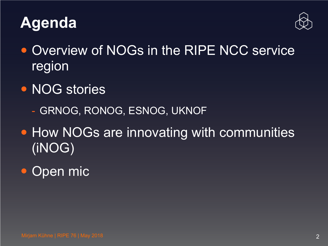



- Overview of NOGs in the RIPE NCC service region
- NOG stories
	- GRNOG, RONOG, ESNOG, UKNOF
- How NOGs are innovating with communities (iNOG)
- Open mic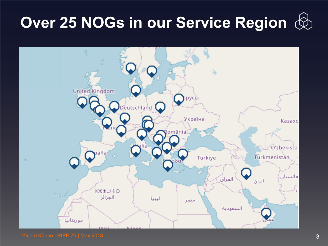# **Over 25 NOGs in our Service Region**



Mirjam Kühne | RIPE 76 | May 2018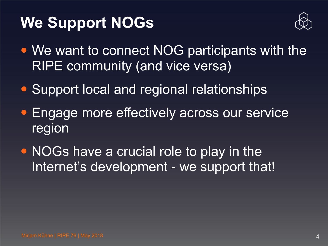# **We Support NOGs**



- We want to connect NOG participants with the RIPE community (and vice versa)
- **Support local and regional relationships**
- Engage more effectively across our service region
- NOGs have a crucial role to play in the Internet's development - we support that!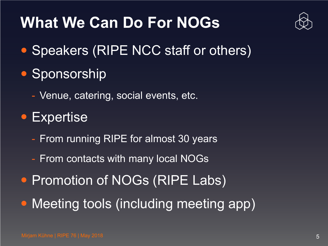# **What We Can Do For NOGs**



- Speakers (RIPE NCC staff or others)
- Sponsorship
	- Venue, catering, social events, etc.
- Expertise
	- From running RIPE for almost 30 years
	- From contacts with many local NOGs
- Promotion of NOGs (RIPE Labs)
- Meeting tools (including meeting app)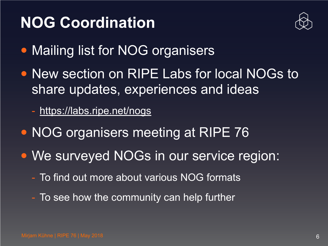# **NOG Coordination**



- Mailing list for NOG organisers
- New section on RIPE Labs for local NOGs to share updates, experiences and ideas
	- <https://labs.ripe.net/nogs>
- NOG organisers meeting at RIPE 76
- We surveyed NOGs in our service region:
	- To find out more about various NOG formats
	- To see how the community can help further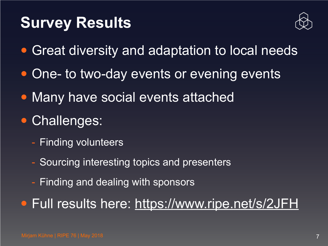#### **Survey Results**



- Great diversity and adaptation to local needs
- One- to two-day events or evening events
- Many have social events attached
- Challenges:
	- Finding volunteers
	- Sourcing interesting topics and presenters
	- Finding and dealing with sponsors

• Full results here:<https://www.ripe.net/s/2JFH>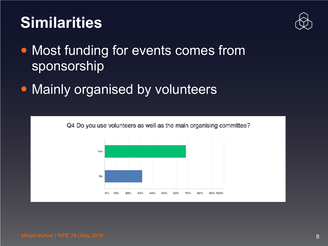# **Similarities**



- Most funding for events comes from sponsorship
- Mainly organised by volunteers

Q4 Do you use volunteers as well as the main organising committee?

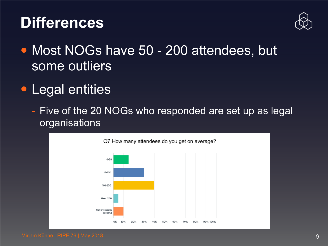#### **Differences**



- Most NOGs have 50 200 attendees, but some outliers
- Legal entities
	- Five of the 20 NOGs who responded are set up as legal organisations

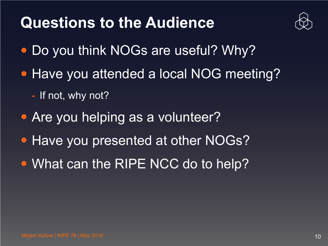#### **Questions to the Audience**



- Do you think NOGs are useful? Why?
- Have you attended a local NOG meeting?
	- If not, why not?
- Are you helping as a volunteer?
- Have you presented at other NOGs?
- What can the RIPE NCC do to help?